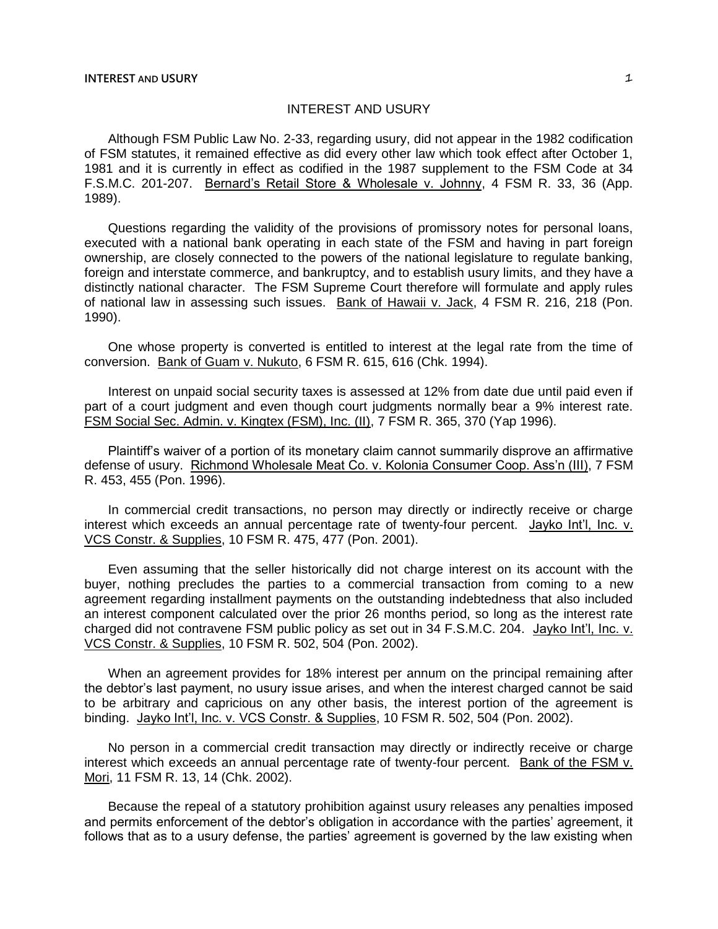## INTEREST AND USURY

Although FSM Public Law No. 2-33, regarding usury, did not appear in the 1982 codification of FSM statutes, it remained effective as did every other law which took effect after October 1, 1981 and it is currently in effect as codified in the 1987 supplement to the FSM Code at 34 F.S.M.C. 201-207. Bernard's Retail Store & Wholesale v. Johnny, 4 FSM R. 33, 36 (App. 1989).

Questions regarding the validity of the provisions of promissory notes for personal loans, executed with a national bank operating in each state of the FSM and having in part foreign ownership, are closely connected to the powers of the national legislature to regulate banking, foreign and interstate commerce, and bankruptcy, and to establish usury limits, and they have a distinctly national character. The FSM Supreme Court therefore will formulate and apply rules of national law in assessing such issues. Bank of Hawaii v. Jack, 4 FSM R. 216, 218 (Pon. 1990).

One whose property is converted is entitled to interest at the legal rate from the time of conversion. Bank of Guam v. Nukuto, 6 FSM R. 615, 616 (Chk. 1994).

Interest on unpaid social security taxes is assessed at 12% from date due until paid even if part of a court judgment and even though court judgments normally bear a 9% interest rate. FSM Social Sec. Admin. v. Kingtex (FSM), Inc. (II), 7 FSM R. 365, 370 (Yap 1996).

Plaintiff's waiver of a portion of its monetary claim cannot summarily disprove an affirmative defense of usury. Richmond Wholesale Meat Co. v. Kolonia Consumer Coop. Ass'n (III), 7 FSM R. 453, 455 (Pon. 1996).

In commercial credit transactions, no person may directly or indirectly receive or charge interest which exceeds an annual percentage rate of twenty-four percent. Jayko Int'l, Inc. v. VCS Constr. & Supplies, 10 FSM R. 475, 477 (Pon. 2001).

Even assuming that the seller historically did not charge interest on its account with the buyer, nothing precludes the parties to a commercial transaction from coming to a new agreement regarding installment payments on the outstanding indebtedness that also included an interest component calculated over the prior 26 months period, so long as the interest rate charged did not contravene FSM public policy as set out in 34 F.S.M.C. 204. Jayko Int'l, Inc. v. VCS Constr. & Supplies, 10 FSM R. 502, 504 (Pon. 2002).

When an agreement provides for 18% interest per annum on the principal remaining after the debtor's last payment, no usury issue arises, and when the interest charged cannot be said to be arbitrary and capricious on any other basis, the interest portion of the agreement is binding. Jayko Int'l, Inc. v. VCS Constr. & Supplies, 10 FSM R. 502, 504 (Pon. 2002).

No person in a commercial credit transaction may directly or indirectly receive or charge interest which exceeds an annual percentage rate of twenty-four percent. Bank of the FSM v. Mori, 11 FSM R. 13, 14 (Chk. 2002).

Because the repeal of a statutory prohibition against usury releases any penalties imposed and permits enforcement of the debtor's obligation in accordance with the parties' agreement, it follows that as to a usury defense, the parties' agreement is governed by the law existing when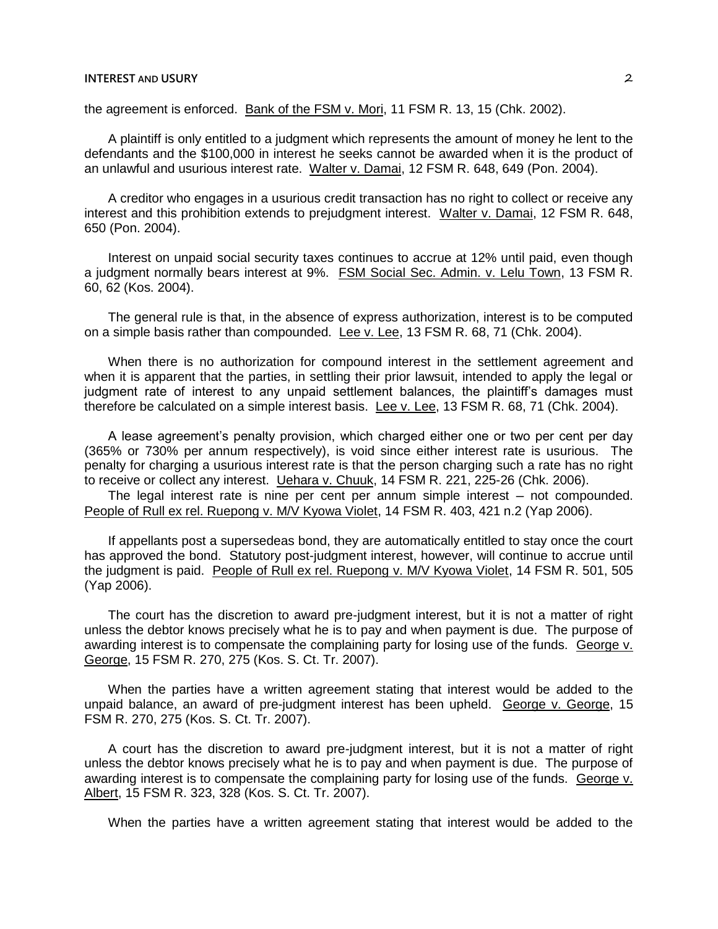## **INTEREST AND USURY** 2

the agreement is enforced. Bank of the FSM v. Mori, 11 FSM R. 13, 15 (Chk. 2002).

A plaintiff is only entitled to a judgment which represents the amount of money he lent to the defendants and the \$100,000 in interest he seeks cannot be awarded when it is the product of an unlawful and usurious interest rate. Walter v. Damai, 12 FSM R. 648, 649 (Pon. 2004).

A creditor who engages in a usurious credit transaction has no right to collect or receive any interest and this prohibition extends to prejudgment interest. Walter v. Damai, 12 FSM R. 648, 650 (Pon. 2004).

Interest on unpaid social security taxes continues to accrue at 12% until paid, even though a judgment normally bears interest at 9%. FSM Social Sec. Admin. v. Lelu Town, 13 FSM R. 60, 62 (Kos. 2004).

The general rule is that, in the absence of express authorization, interest is to be computed on a simple basis rather than compounded. Lee v. Lee, 13 FSM R. 68, 71 (Chk. 2004).

When there is no authorization for compound interest in the settlement agreement and when it is apparent that the parties, in settling their prior lawsuit, intended to apply the legal or judgment rate of interest to any unpaid settlement balances, the plaintiff's damages must therefore be calculated on a simple interest basis. Lee v. Lee, 13 FSM R. 68, 71 (Chk. 2004).

A lease agreement's penalty provision, which charged either one or two per cent per day (365% or 730% per annum respectively), is void since either interest rate is usurious. The penalty for charging a usurious interest rate is that the person charging such a rate has no right to receive or collect any interest. Uehara v. Chuuk, 14 FSM R. 221, 225-26 (Chk. 2006).

The legal interest rate is nine per cent per annum simple interest  $-$  not compounded. People of Rull ex rel. Ruepong v. M/V Kyowa Violet, 14 FSM R. 403, 421 n.2 (Yap 2006).

If appellants post a supersedeas bond, they are automatically entitled to stay once the court has approved the bond. Statutory post-judgment interest, however, will continue to accrue until the judgment is paid. People of Rull ex rel. Ruepong v. M/V Kyowa Violet, 14 FSM R. 501, 505 (Yap 2006).

The court has the discretion to award pre-judgment interest, but it is not a matter of right unless the debtor knows precisely what he is to pay and when payment is due. The purpose of awarding interest is to compensate the complaining party for losing use of the funds. George v. George, 15 FSM R. 270, 275 (Kos. S. Ct. Tr. 2007).

When the parties have a written agreement stating that interest would be added to the unpaid balance, an award of pre-judgment interest has been upheld. George v. George, 15 FSM R. 270, 275 (Kos. S. Ct. Tr. 2007).

A court has the discretion to award pre-judgment interest, but it is not a matter of right unless the debtor knows precisely what he is to pay and when payment is due. The purpose of awarding interest is to compensate the complaining party for losing use of the funds. George v. Albert, 15 FSM R. 323, 328 (Kos. S. Ct. Tr. 2007).

When the parties have a written agreement stating that interest would be added to the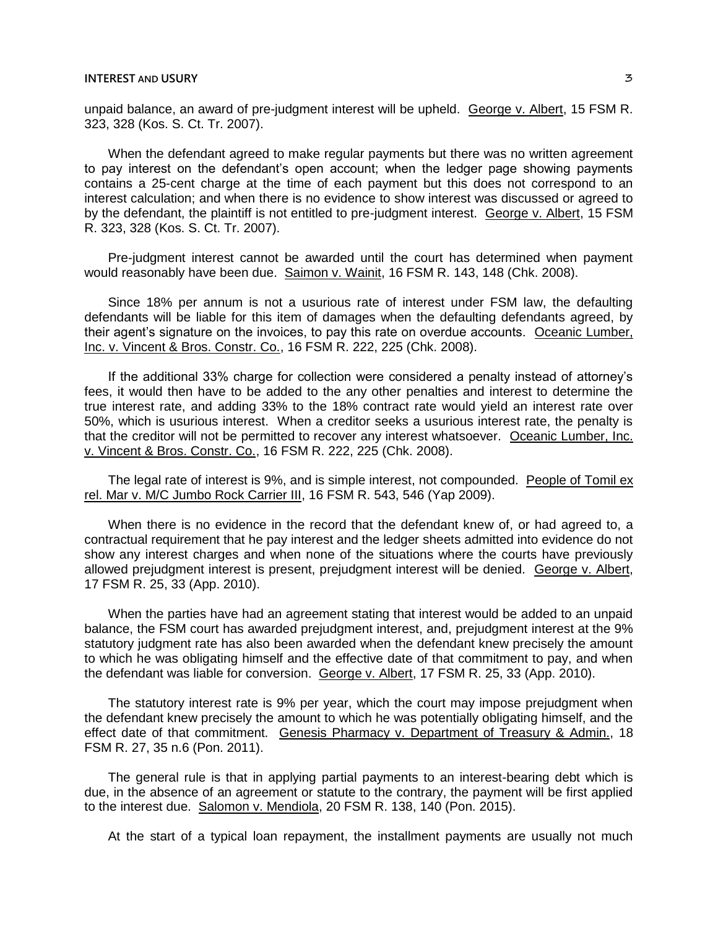unpaid balance, an award of pre-judgment interest will be upheld. George v. Albert, 15 FSM R. 323, 328 (Kos. S. Ct. Tr. 2007).

When the defendant agreed to make regular payments but there was no written agreement to pay interest on the defendant's open account; when the ledger page showing payments contains a 25-cent charge at the time of each payment but this does not correspond to an interest calculation; and when there is no evidence to show interest was discussed or agreed to by the defendant, the plaintiff is not entitled to pre-judgment interest. George v. Albert, 15 FSM R. 323, 328 (Kos. S. Ct. Tr. 2007).

Pre-judgment interest cannot be awarded until the court has determined when payment would reasonably have been due. Saimon v. Wainit, 16 FSM R. 143, 148 (Chk. 2008).

Since 18% per annum is not a usurious rate of interest under FSM law, the defaulting defendants will be liable for this item of damages when the defaulting defendants agreed, by their agent's signature on the invoices, to pay this rate on overdue accounts. Oceanic Lumber, Inc. v. Vincent & Bros. Constr. Co., 16 FSM R. 222, 225 (Chk. 2008).

If the additional 33% charge for collection were considered a penalty instead of attorney's fees, it would then have to be added to the any other penalties and interest to determine the true interest rate, and adding 33% to the 18% contract rate would yield an interest rate over 50%, which is usurious interest. When a creditor seeks a usurious interest rate, the penalty is that the creditor will not be permitted to recover any interest whatsoever. Oceanic Lumber, Inc. v. Vincent & Bros. Constr. Co., 16 FSM R. 222, 225 (Chk. 2008).

The legal rate of interest is 9%, and is simple interest, not compounded. People of Tomil ex rel. Mar v. M/C Jumbo Rock Carrier III, 16 FSM R. 543, 546 (Yap 2009).

When there is no evidence in the record that the defendant knew of, or had agreed to, a contractual requirement that he pay interest and the ledger sheets admitted into evidence do not show any interest charges and when none of the situations where the courts have previously allowed prejudgment interest is present, prejudgment interest will be denied. George v. Albert, 17 FSM R. 25, 33 (App. 2010).

When the parties have had an agreement stating that interest would be added to an unpaid balance, the FSM court has awarded prejudgment interest, and, prejudgment interest at the 9% statutory judgment rate has also been awarded when the defendant knew precisely the amount to which he was obligating himself and the effective date of that commitment to pay, and when the defendant was liable for conversion. George v. Albert, 17 FSM R. 25, 33 (App. 2010).

The statutory interest rate is 9% per year, which the court may impose prejudgment when the defendant knew precisely the amount to which he was potentially obligating himself, and the effect date of that commitment. Genesis Pharmacy v. Department of Treasury & Admin., 18 FSM R. 27, 35 n.6 (Pon. 2011).

The general rule is that in applying partial payments to an interest-bearing debt which is due, in the absence of an agreement or statute to the contrary, the payment will be first applied to the interest due. Salomon v. Mendiola, 20 FSM R. 138, 140 (Pon. 2015).

At the start of a typical loan repayment, the installment payments are usually not much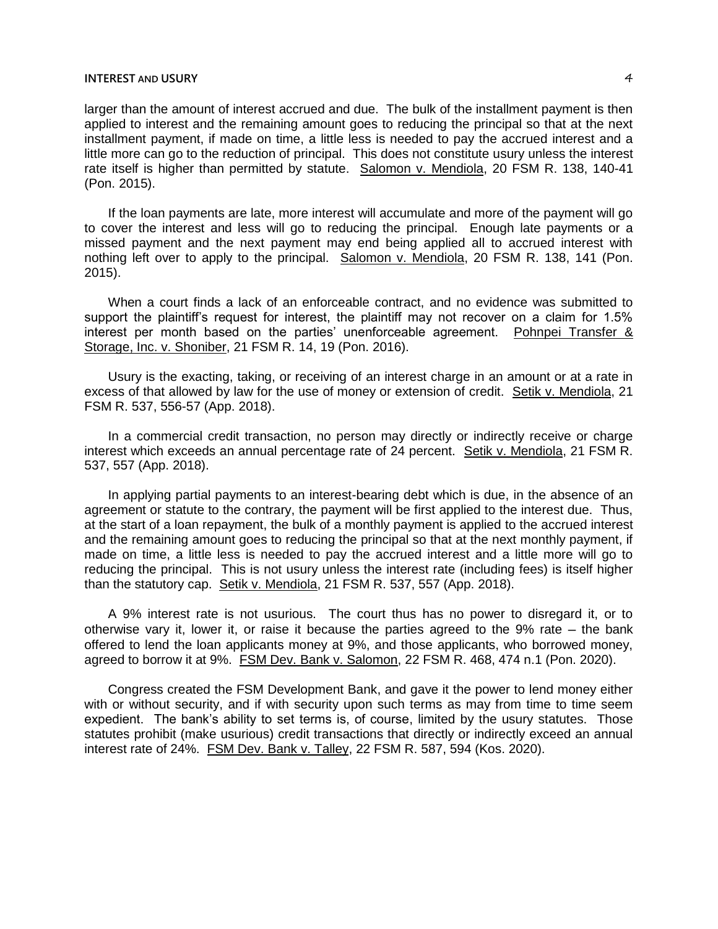## **INTEREST AND USURY** 4

larger than the amount of interest accrued and due. The bulk of the installment payment is then applied to interest and the remaining amount goes to reducing the principal so that at the next installment payment, if made on time, a little less is needed to pay the accrued interest and a little more can go to the reduction of principal. This does not constitute usury unless the interest rate itself is higher than permitted by statute. Salomon v. Mendiola, 20 FSM R. 138, 140-41 (Pon. 2015).

If the loan payments are late, more interest will accumulate and more of the payment will go to cover the interest and less will go to reducing the principal. Enough late payments or a missed payment and the next payment may end being applied all to accrued interest with nothing left over to apply to the principal. Salomon v. Mendiola, 20 FSM R. 138, 141 (Pon. 2015).

When a court finds a lack of an enforceable contract, and no evidence was submitted to support the plaintiff's request for interest, the plaintiff may not recover on a claim for 1.5% interest per month based on the parties' unenforceable agreement. Pohnpei Transfer & Storage, Inc. v. Shoniber, 21 FSM R. 14, 19 (Pon. 2016).

Usury is the exacting, taking, or receiving of an interest charge in an amount or at a rate in excess of that allowed by law for the use of money or extension of credit. Setik v. Mendiola, 21 FSM R. 537, 556-57 (App. 2018).

In a commercial credit transaction, no person may directly or indirectly receive or charge interest which exceeds an annual percentage rate of 24 percent. Setik v. Mendiola, 21 FSM R. 537, 557 (App. 2018).

In applying partial payments to an interest-bearing debt which is due, in the absence of an agreement or statute to the contrary, the payment will be first applied to the interest due. Thus, at the start of a loan repayment, the bulk of a monthly payment is applied to the accrued interest and the remaining amount goes to reducing the principal so that at the next monthly payment, if made on time, a little less is needed to pay the accrued interest and a little more will go to reducing the principal. This is not usury unless the interest rate (including fees) is itself higher than the statutory cap. Setik v. Mendiola, 21 FSM R. 537, 557 (App. 2018).

A 9% interest rate is not usurious. The court thus has no power to disregard it, or to otherwise vary it, lower it, or raise it because the parties agreed to the  $9\%$  rate  $-$  the bank offered to lend the loan applicants money at 9%, and those applicants, who borrowed money, agreed to borrow it at 9%. FSM Dev. Bank v. Salomon, 22 FSM R. 468, 474 n.1 (Pon. 2020).

Congress created the FSM Development Bank, and gave it the power to lend money either with or without security, and if with security upon such terms as may from time to time seem expedient. The bank's ability to set terms is, of course, limited by the usury statutes. Those statutes prohibit (make usurious) credit transactions that directly or indirectly exceed an annual interest rate of 24%. FSM Dev. Bank v. Talley, 22 FSM R. 587, 594 (Kos. 2020).